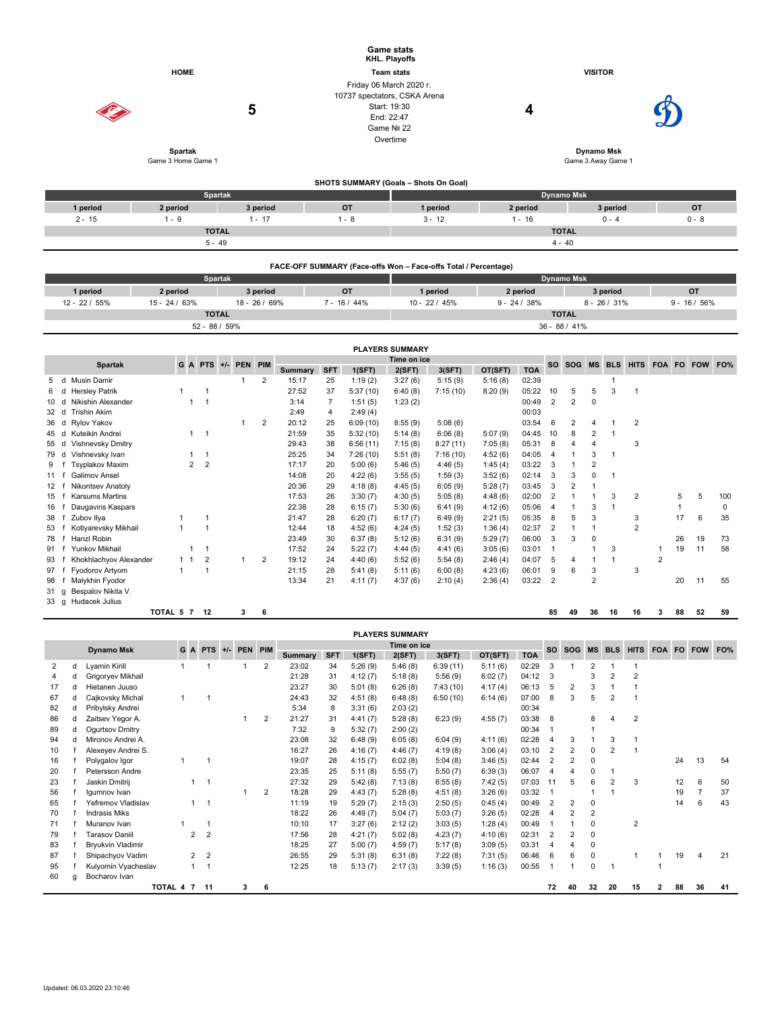| <b>HOME</b><br><b>Spartak</b>                         |                        |                     |                          |              | <b>Game stats</b><br>KHL. Playoffs<br><b>Team stats</b><br>Friday 06 March 2020 r.<br>10737 spectators, CSKA Arena<br>Start: 19:30<br>5<br>End: 22:47<br>Game Nº 22<br>Overtime |                |                |                                       |                                       |                                                                 |                    | <b>VISITOR</b><br>4<br><b>Dynamo Msk</b> |                                  |                              |                   |                                           |                |                |                   |                |                    |  |
|-------------------------------------------------------|------------------------|---------------------|--------------------------|--------------|---------------------------------------------------------------------------------------------------------------------------------------------------------------------------------|----------------|----------------|---------------------------------------|---------------------------------------|-----------------------------------------------------------------|--------------------|------------------------------------------|----------------------------------|------------------------------|-------------------|-------------------------------------------|----------------|----------------|-------------------|----------------|--------------------|--|
|                                                       |                        | Game 3 Home Game 1  |                          |              |                                                                                                                                                                                 |                |                |                                       |                                       |                                                                 |                    |                                          |                                  |                              |                   | Game 3 Away Game 1                        |                |                |                   |                |                    |  |
|                                                       |                        |                     | <b>Spartak</b>           |              |                                                                                                                                                                                 |                |                | SHOTS SUMMARY (Goals - Shots On Goal) |                                       |                                                                 |                    |                                          |                                  | <b>Dynamo Msk</b>            |                   |                                           |                |                |                   |                |                    |  |
| 1 period                                              |                        | 2 period            |                          |              | 3 period                                                                                                                                                                        |                |                | <b>OT</b>                             |                                       | 1 period                                                        |                    | 2 period                                 |                                  |                              |                   | 3 period                                  |                |                |                   | OT             |                    |  |
| $2 - 15$                                              |                        | $1 - 9$             |                          |              | $1 - 17$                                                                                                                                                                        |                |                | $1 - 8$                               |                                       | $3 - 12$                                                        |                    | $1 - 16$                                 |                                  |                              |                   | $0 - 4$                                   |                |                |                   | $0 - 8$        |                    |  |
|                                                       |                        |                     | <b>TOTAL</b>             |              |                                                                                                                                                                                 |                |                |                                       |                                       |                                                                 |                    |                                          |                                  | <b>TOTAL</b>                 |                   |                                           |                |                |                   |                |                    |  |
|                                                       |                        |                     | $5 - 49$                 |              |                                                                                                                                                                                 |                |                |                                       |                                       |                                                                 |                    |                                          |                                  | $4 - 40$                     |                   |                                           |                |                |                   |                |                    |  |
|                                                       |                        |                     |                          |              |                                                                                                                                                                                 |                |                |                                       |                                       | FACE-OFF SUMMARY (Face-offs Won - Face-offs Total / Percentage) |                    |                                          |                                  |                              |                   |                                           |                |                |                   |                |                    |  |
|                                                       |                        |                     | <b>Spartak</b>           |              |                                                                                                                                                                                 |                |                |                                       |                                       |                                                                 |                    |                                          |                                  | <b>Dynamo Msk</b>            |                   |                                           |                |                |                   |                |                    |  |
| 1 period                                              |                        | 2 period            |                          |              | 3 period                                                                                                                                                                        |                |                | OT                                    |                                       | 1 period                                                        |                    | 2 period                                 |                                  |                              |                   | 3 period                                  |                |                |                   | <b>OT</b>      |                    |  |
| 12 - 22 / 55%                                         |                        | 15 - 24 / 63%       |                          |              | 18 - 26 / 69%                                                                                                                                                                   |                |                | $7 - 16/44%$                          |                                       | 10 - 22 / 45%                                                   |                    | $9 - 24 / 38%$                           |                                  |                              |                   | $8 - 26 / 31%$                            |                |                |                   | $9 - 16 / 56%$ |                    |  |
|                                                       |                        |                     | <b>TOTAL</b>             |              |                                                                                                                                                                                 |                |                |                                       |                                       |                                                                 |                    |                                          |                                  | <b>TOTAL</b>                 |                   |                                           |                |                |                   |                |                    |  |
|                                                       |                        |                     | 52 - 88 / 59%            |              |                                                                                                                                                                                 |                |                |                                       |                                       |                                                                 |                    |                                          |                                  | 36 - 88 / 41%                |                   |                                           |                |                |                   |                |                    |  |
|                                                       |                        |                     |                          |              |                                                                                                                                                                                 |                |                |                                       | <b>PLAYERS SUMMARY</b>                |                                                                 |                    |                                          |                                  |                              |                   |                                           |                |                |                   |                |                    |  |
|                                                       |                        |                     | $G$ A PTS $+/-$          | PEN PIM      |                                                                                                                                                                                 |                |                |                                       | <b>SOG</b><br><b>MS</b><br><b>BLS</b> |                                                                 |                    |                                          |                                  |                              |                   | HITS FOA FO FOW FO%                       |                |                |                   |                |                    |  |
|                                                       | <b>Spartak</b>         |                     |                          |              |                                                                                                                                                                                 | Summary        | <b>SFT</b>     | 1(SFT)                                | 2(SFT)                                | 3(SFT)                                                          | OT(SFT)            | <b>TOA</b>                               | <b>SO</b>                        |                              |                   |                                           |                |                |                   |                |                    |  |
| d Musin Damir<br>5<br><b>Hersley Patrik</b><br>6<br>d |                        | $\mathbf{1}$        | $\overline{1}$           | $\mathbf{1}$ | 2                                                                                                                                                                               | 15:17<br>27:52 | 25<br>37       | 1:19(2)<br>5:37(10)                   | 3:27(6)<br>6:40(8)                    | 5:15(9)<br>7:15(10)                                             | 5:16(8)<br>8:20(9) | 02:39<br>05:22                           | 10                               | 5                            | 5                 | $\mathbf{1}$<br>$\ensuremath{\mathsf{3}}$ | $\mathbf{1}$   |                |                   |                |                    |  |
| Nikishin Alexander<br>10<br>d                         |                        | $\overline{1}$      | $\overline{1}$           |              |                                                                                                                                                                                 | 3:14           | $\overline{7}$ | 1:51(5)                               | 1:23(2)                               |                                                                 |                    | 00:49                                    | $\overline{2}$                   | $\overline{2}$               | $\mathbf 0$       |                                           |                |                |                   |                |                    |  |
| 32<br>d Trishin Akim                                  |                        |                     |                          |              |                                                                                                                                                                                 | 2:49           | 4              | 2:49(4)                               |                                       |                                                                 |                    | 00:03                                    |                                  |                              |                   |                                           |                |                |                   |                |                    |  |
| 36<br>d Rylov Yakov                                   |                        |                     |                          | $\mathbf{1}$ | $\overline{2}$                                                                                                                                                                  | 20:12          | 25             | 6:09(10)                              | 8:55(9)                               | 5:08(6)                                                         |                    | 03:54                                    | 6                                | $\overline{\mathbf{c}}$      | $\overline{4}$    | $\mathbf{1}$                              | $\overline{2}$ |                |                   |                |                    |  |
| Kuteikin Andrei<br>45<br>d                            |                        | 1                   | $\overline{\phantom{0}}$ |              |                                                                                                                                                                                 | 21:59          | 35             | 5:32(10)                              | 5:14(8)                               | 6:06(8)                                                         | 5:07(9)            | 04:45                                    | 10                               | 8                            | $\overline{2}$    | $\mathbf{1}$                              |                |                |                   |                |                    |  |
| d Vishnevsky Dmitry<br>55                             |                        |                     |                          |              |                                                                                                                                                                                 | 29:43          | 38             | 6:56(11)                              | 7:15(8)                               | 8:27(11)                                                        | 7:05(8)            | 05:31                                    | 8                                | $\overline{4}$               | 4                 |                                           | 3              |                |                   |                |                    |  |
| d Vishnevsky Ivan<br>79                               |                        | 1                   | $\overline{1}$           |              |                                                                                                                                                                                 | 25:25          | 34             | 7:26(10)                              | 5:51(8)                               | 7:16(10)                                                        | 4:52(6)            | 04:05                                    | $\overline{4}$                   | $\mathbf{1}$                 | 3                 | $\mathbf{1}$                              |                |                |                   |                |                    |  |
| 9<br><b>Tsyplakov Maxim</b><br>f                      |                        | $\overline{2}$      | $\overline{2}$           |              |                                                                                                                                                                                 | 17:17          | 20             | 5:00(6)                               | 5:46(5)                               | 4:46(5)                                                         | 1:45(4)            | 03:22                                    | 3                                | $\mathbf{1}$                 | $\overline{2}$    |                                           |                |                |                   |                |                    |  |
| Galimov Ansel<br>11<br>f                              |                        |                     |                          |              |                                                                                                                                                                                 | 14:08          | 20             | 4:22(6)                               | 3:55(5)                               | 1:59(3)                                                         | 3:52(6)            | 02:14                                    | 3                                | 3                            | 0                 | $\mathbf{1}$                              |                |                |                   |                |                    |  |
| Nikontsev Anatoly<br>12 f                             |                        |                     |                          |              |                                                                                                                                                                                 | 20:36          | 29             | 4:18(8)                               | 4:45(5)                               | 6:05(9)                                                         | 5:28(7)            | 03:45                                    | 3                                | $\overline{2}$               | $\mathbf{1}$      |                                           |                |                |                   |                |                    |  |
| Karsums Martins<br>15<br>f<br>16<br>$\mathsf{f}$      | Daugavins Kaspars      |                     |                          |              |                                                                                                                                                                                 | 17:53<br>22:38 | 26<br>28       | 3:30(7)<br>6:15(7)                    | 4:30(5)<br>5:30(6)                    | 5:05(8)<br>6:41(9)                                              | 4:48(6)<br>4:12(6) | 02:00<br>05:06                           | $\overline{c}$<br>$\overline{4}$ | $\mathbf{1}$<br>$\mathbf{1}$ | $\mathbf{1}$<br>3 | 3<br>$\mathbf{1}$                         | $\overline{2}$ |                | 5<br>$\mathbf{1}$ | 5              | 100<br>$\mathbf 0$ |  |
| Zubov Ilya<br>38<br>f                                 |                        | 1                   | $\overline{\mathbf{1}}$  |              |                                                                                                                                                                                 | 21:47          | 28             | 6:20(7)                               | 6:17(7)                               | 6:49(9)                                                         | 2:21(5)            | 05:35                                    | 8                                | 5                            | 3                 |                                           | 3              |                | 17                | 6              | 35                 |  |
| f Kotlyarevsky Mikhail<br>53                          |                        | $\mathbf{1}$        | $\overline{1}$           |              |                                                                                                                                                                                 | 12:44          | 18             | 4:52(6)                               | 4:24(5)                               | 1:52(3)                                                         | 1:36(4)            | 02:37                                    | $\overline{2}$                   | $\mathbf{1}$                 | $\mathbf{1}$      |                                           | $\overline{2}$ |                |                   |                |                    |  |
| 78<br>f<br>Hanzl Robin                                |                        |                     |                          |              |                                                                                                                                                                                 | 23:49          | 30             | 6:37(8)                               | 5:12(6)                               | 6:31(9)                                                         | 5:29(7)            | 06:00                                    | 3                                | 3                            | $\mathbf 0$       |                                           |                |                | 26                | 19             | 73                 |  |
| Yunkov Mikhail<br>91<br>$\mathsf{f}$                  |                        | 1                   | $\overline{1}$           |              |                                                                                                                                                                                 | 17:52          | 24             | 5:22(7)                               | 4:44(5)                               | 4:41(6)                                                         | 3:05(6)            | 03:01                                    | $\mathbf{1}$                     |                              | $\mathbf{1}$      | 3                                         |                | $\mathbf{1}$   | 19                | 11             | 58                 |  |
| 93<br>f                                               | Khokhlachyov Alexander | 1 <sub>1</sub>      | $\overline{2}$           | $\mathbf{1}$ | $\overline{2}$                                                                                                                                                                  | 19:12          | 24             | 4:40(6)                               | 5:52(6)                               | 5:54(8)                                                         | 2:46(4)            | 04:07                                    | $\,$ 5 $\,$                      | $\overline{4}$               | $\mathbf{1}$      | $\mathbf{1}$                              |                | $\overline{2}$ |                   |                |                    |  |
| 97<br>f<br><b>Fyodorov Artyom</b>                     |                        | $\mathbf{1}$        | $\mathbf{1}$             |              |                                                                                                                                                                                 | 21:15          | 28             | 5:41(8)                               | 5:11(6)                               | 6:00(8)                                                         | 4:23(6)            | 06:01                                    | 9                                | 6                            | 3                 |                                           | 3              |                |                   |                |                    |  |
| Malykhin Fyodor<br>98<br>f                            |                        |                     |                          |              |                                                                                                                                                                                 | 13:34          | 21             | 4:11(7)                               | 4:37(6)                               | 2:10(4)                                                         | 2:36(4)            | 03:22                                    | $\overline{2}$                   |                              | $\overline{2}$    |                                           |                |                | 20                | 11             | 55                 |  |
| Bespalov Nikita V.<br>31<br>g                         |                        |                     |                          |              |                                                                                                                                                                                 |                |                |                                       |                                       |                                                                 |                    |                                          |                                  |                              |                   |                                           |                |                |                   |                |                    |  |
| g Hudacek Julius<br>33                                |                        |                     |                          |              |                                                                                                                                                                                 |                |                |                                       |                                       |                                                                 |                    |                                          |                                  |                              |                   |                                           |                |                |                   |                |                    |  |
|                                                       |                        | <b>TOTAL 5 7 12</b> |                          | 3            | 6                                                                                                                                                                               |                |                |                                       |                                       |                                                                 |                    |                                          | 85                               | 49                           | 36                | 16                                        | 16             | 3              | 88                | 52             | 59                 |  |
|                                                       |                        |                     |                          |              |                                                                                                                                                                                 |                |                |                                       | <b>PLAYERS SUMMARY</b>                |                                                                 |                    |                                          |                                  |                              |                   |                                           |                |                |                   |                |                    |  |

|    |   |                          |              |                                  |   |   |                |            |         | <b>FLAILING GUILDIANI</b> |          |         |            |                              |                |    |                |    |   |            |                |    |
|----|---|--------------------------|--------------|----------------------------------|---|---|----------------|------------|---------|---------------------------|----------|---------|------------|------------------------------|----------------|----|----------------|----|---|------------|----------------|----|
|    |   | <b>Dynamo Msk</b>        |              | G A PTS +/- PEN PIM              |   |   | Time on ice    |            |         |                           |          |         |            | <b>SO</b><br>SOG MS BLS HITS |                |    |                |    |   | FOA FO FOW | FO%            |    |
|    |   |                          |              |                                  |   |   | <b>Summary</b> | <b>SFT</b> | 1(SFT)  | 2(SFT)                    | 3(SFT)   | OT(SFT) | <b>TOA</b> |                              |                |    |                |    |   |            |                |    |
| 2  | d | Lyamin Kirill            |              |                                  |   | 2 | 23:02          | 34         | 5:26(9) | 5:46(8)                   | 6:39(11) | 5:11(6) | 02:29      | 3                            |                | 2  |                |    |   |            |                |    |
|    |   | Grigoryev Mikhail        |              |                                  |   |   | 21:28          | 31         | 4:12(7) | 5:18(8)                   | 5:56(9)  | 6:02(7) | 04:12      | 3                            |                | 3  | $\overline{2}$ | 2  |   |            |                |    |
| 17 | d | Hietanen Juuso           |              |                                  |   |   | 23:27          | 30         | 5:01(8) | 6:26(8)                   | 7:43(10) | 4:17(4) | 06:13      | 5                            | $\overline{2}$ | 3  |                |    |   |            |                |    |
| 67 |   | Cajkovsky Michal         |              |                                  |   |   | 24:43          | 32         | 4:51(8) | 6:48(8)                   | 6:50(10) | 6:14(6) | 07:00      | 8                            | 3              | 5  | 2              |    |   |            |                |    |
| 82 |   | Pribylsky Andrei         |              |                                  |   |   | 5:34           | 8          | 3:31(6) | 2:03(2)                   |          |         | 00:34      |                              |                |    |                |    |   |            |                |    |
| 86 | d | Zaitsev Yegor A.         |              |                                  | 1 | 2 | 21:27          | 31         | 4:41(7) | 5:28(8)                   | 6:23(9)  | 4:55(7) | 03:38      | 8                            |                | 8  |                | 2  |   |            |                |    |
| 89 | d | Ogurtsov Dmitry          |              |                                  |   |   | 7:32           | 9          | 5:32(7) | 2:00(2)                   |          |         | 00:34      |                              |                | 1  |                |    |   |            |                |    |
| 94 | d | Mironov Andrei A.        |              |                                  |   |   | 23:08          | 32         | 6:48(9) | 6:05(8)                   | 6:04(9)  | 4:11(6) | 02:28      | $\Delta$                     | 3              |    | 3              |    |   |            |                |    |
| 10 |   | Alexeyev Andrei S.       |              |                                  |   |   | 16:27          | 26         | 4:16(7) | 4:46(7)                   | 4:19(8)  | 3:06(4) | 03:10      | $\overline{2}$               | $\overline{2}$ | 0  | $\overline{2}$ |    |   |            |                |    |
| 16 |   | Polygalov Igor           |              |                                  |   |   | 19:07          | 28         | 4:15(7) | 6:02(8)                   | 5:04(8)  | 3:46(5) | 02:44      | $\overline{2}$               | $\overline{2}$ | 0  |                |    |   | 24         | 13             | 54 |
| 20 |   | Petersson Andre          |              |                                  |   |   | 23:35          | 25         | 5:11(8) | 5:55(7)                   | 5:50(7)  | 6:39(3) | 06:07      | $\boldsymbol{4}$             |                | 0  |                |    |   |            |                |    |
| 23 |   | Jaskin Dmitrij           | 1            |                                  |   |   | 27:32          | 29         | 5:42(8) | 7:13(8)                   | 6:55(8)  | 7:42(5) | 07:03      | 11                           | 5              | 6  | $\overline{2}$ | 3  |   | 12         | 6              | 50 |
| 56 |   | Igumnov Ivan             |              |                                  |   | 2 | 18:28          | 29         | 4:43(7) | 5:28(8)                   | 4:51(8)  | 3:26(6) | 03:32      |                              |                | 1  |                |    |   | 19         |                | 37 |
| 65 |   | Yefremov Vladislav       | $\mathbf{1}$ |                                  |   |   | 11:19          | 19         | 5:29(7) | 2:15(3)                   | 2:50(5)  | 0:45(4) | 00:49      | $\overline{2}$               | $\overline{2}$ | 0  |                |    |   | 14         | 6              | 43 |
| 70 |   | <b>Indrasis Miks</b>     |              |                                  |   |   | 18:22          | 26         | 4:49(7) | 5:04(7)                   | 5:03(7)  | 3:26(5) | 02:28      | $\overline{4}$               | 2              | 2  |                |    |   |            |                |    |
| 71 |   | Muranov Ivan             |              |                                  |   |   | 10:10          | 17         | 3:27(6) | 2:12(2)                   | 3:03(5)  | 1:28(4) | 00:49      |                              |                | 0  |                | 2  |   |            |                |    |
| 79 |   | Tarasov Daniil           |              | $\overline{2}$<br>$\overline{2}$ |   |   | 17:56          | 28         | 4:21(7) | 5:02(8)                   | 4:23(7)  | 4:10(6) | 02:31      | $\overline{2}$               | $\overline{2}$ | 0  |                |    |   |            |                |    |
| 83 |   | <b>Bryukvin Vladimir</b> |              |                                  |   |   | 18:25          | 27         | 5:00(7) | 4:59(7)                   | 5:17(8)  | 3:09(5) | 03:31      | $\overline{4}$               |                | 0  |                |    |   |            |                |    |
| 87 |   | Shipachyov Vadim         |              | $2^{\circ}$<br>$\overline{2}$    |   |   | 26:55          | 29         | 5:31(8) | 6:31(8)                   | 7:22(8)  | 7:31(5) | 06:46      | 6                            | 6              | 0  |                |    |   | 19         | $\overline{4}$ | 21 |
| 95 |   | Kulyomin Vyacheslav      | $\mathbf{1}$ |                                  |   |   | 12:25          | 18         | 5:13(7) | 2:17(3)                   | 3:39(5)  | 1:16(3) | 00:55      |                              |                | 0  |                |    |   |            |                |    |
| 60 | a | Bocharov Ivan            |              |                                  |   |   |                |            |         |                           |          |         |            |                              |                |    |                |    |   |            |                |    |
|    |   |                          | TOTAL 4 7    | 11                               | 3 | 6 |                |            |         |                           |          |         |            | 72                           | 40             | 32 | 20             | 15 | 2 | 88         | 36             | 41 |